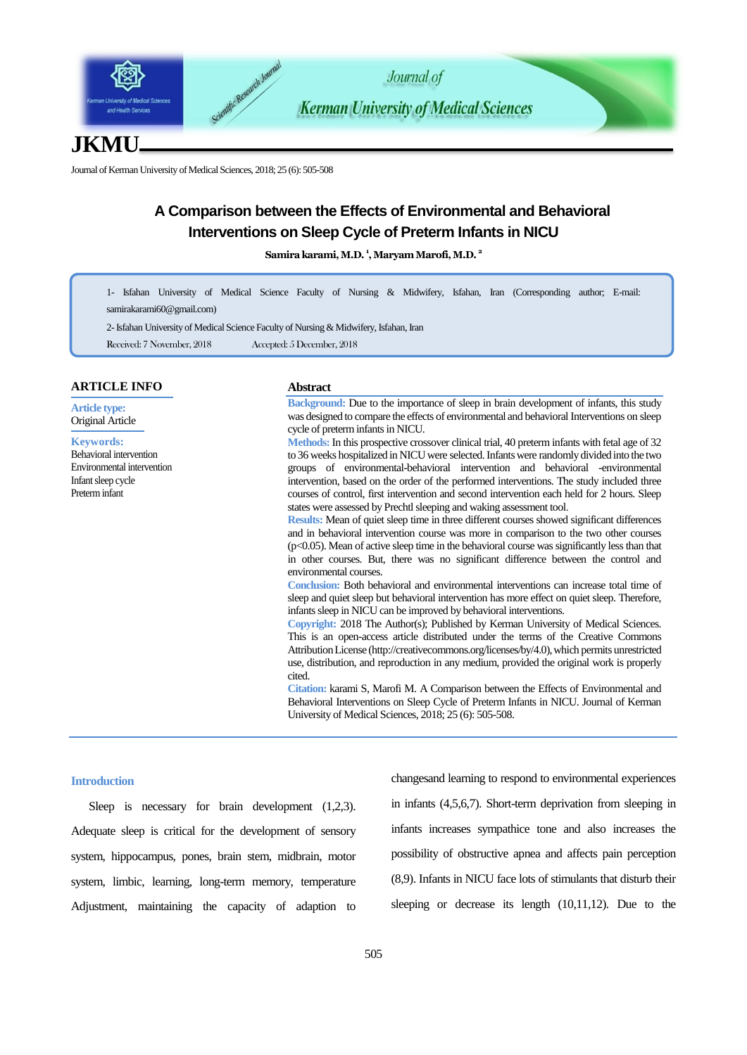

# **JKMU**

Journal of Kerman University of Medical Sciences, 2018; 25 (6): 505-508

# **A Comparison between the Effects of Environmental and Behavioral Interventions on Sleep Cycle of Preterm Infants in NICU**

**Samira karami,M.D. <sup>1</sup> , Maryam Marofi, M.D. <sup>2</sup>**

1- Isfahan University of Medical Science Faculty of Nursing & Midwifery, Isfahan, Iran (Corresponding author; E-mail: [samirakarami60@gmail.com\)](mailto:samirakarami60@gmail.com)

2-Isfahan University of Medical Science Faculty of Nursing & Midwifery, Isfahan, Iran

Received: 7 November, 2018 Accepted: 5 December, 2018

#### **ARTICLE INFO**

**Article type:** Original Article

**Keywords:**

Behavioral intervention Environmental intervention Infant sleep cycle Preterm infant

#### **Abstract**

**Background:** Due to the importance of sleep in brain development of infants, this study was designed to compare the effects of environmental and behavioral Interventions on sleep cycle of preterm infants in NICU.

**Methods:** In this prospective crossover clinical trial, 40 preterm infants with fetal age of 32 to 36 weeks hospitalized in NICU were selected. Infants were randomly divided into the two groups of environmental-behavioral intervention and behavioral -environmental intervention, based on the order of the performed interventions. The study included three courses of control, first intervention and second intervention each held for 2 hours. Sleep states were assessed by Prechtl sleeping and waking assessment tool.

**Results:** Mean of quiet sleep time in three different courses showed significant differences and in behavioral intervention course was more in comparison to the two other courses  $(p<0.05)$ . Mean of active sleep time in the behavioral course was significantly less than that in other courses. But, there was no significant difference between the control and environmental courses.

**Conclusion:** Both behavioral and environmental interventions can increase total time of sleep and quiet sleep but behavioral intervention has more effect on quiet sleep. Therefore, infants sleep in NICU can be improved by behavioral interventions.

**Copyright:** 2018 The Author(s); Published by Kerman University of Medical Sciences. This is an open-access article distributed under the terms of the Creative Commons Attribution License (http://creativecommons.org/licenses/by/4.0), which permits unrestricted use, distribution, and reproduction in any medium, provided the original work is properly cited.

**Citation:** karami S, Marofi M. A Comparison between the Effects of Environmental and Behavioral Interventions on Sleep Cycle of Preterm Infants in NICU. Journal of Kerman University of Medical Sciences, 2018; 25 (6): 505-508.

#### **Introduction**

Sleep is necessary for brain development  $(1,2,3)$ . Adequate sleep is critical for the development of sensory system, hippocampus, pones, brain stem, midbrain, motor system, limbic, learning, long-term memory, temperature Adjustment, maintaining the capacity of adaption to changesand learning to respond to environmental experiences in infants (4,5,6,7). Short-term deprivation from sleeping in infants increases sympathice tone and also increases the possibility of obstructive apnea and affects pain perception (8,9). Infants in NICU face lots of stimulants that disturb their sleeping or decrease its length (10,11,12). Due to the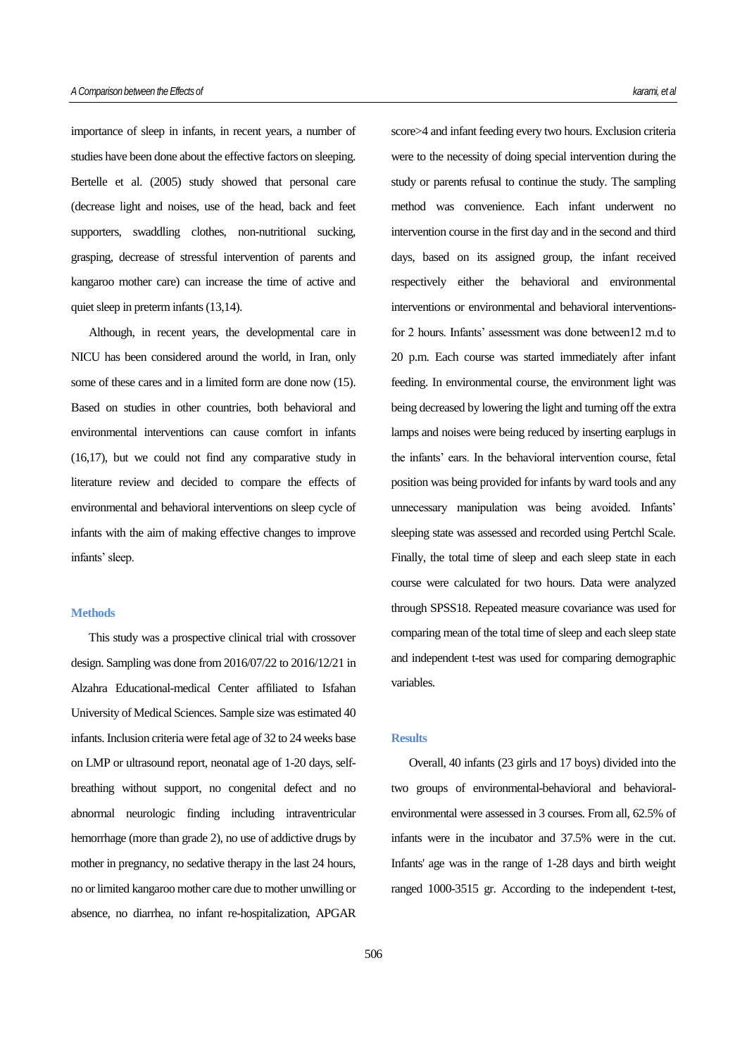importance of sleep in infants, in recent years, a number of studies have been done about the effective factors on sleeping. Bertelle et al. (2005) study showed that personal care (decrease light and noises, use of the head, back and feet supporters, swaddling clothes, non-nutritional sucking, grasping, decrease of stressful intervention of parents and kangaroo mother care) can increase the time of active and quiet sleep in preterm infants (13,14).

Although, in recent years, the developmental care in NICU has been considered around the world, in Iran, only some of these cares and in a limited form are done now (15). Based on studies in other countries, both behavioral and environmental interventions can cause comfort in infants (16,17), but we could not find any comparative study in literature review and decided to compare the effects of environmental and behavioral interventions on sleep cycle of infants with the aim of making effective changes to improve infants' sleep.

## **Methods**

This study was a prospective clinical trial with crossover design. Sampling was done from 2016/07/22 to 2016/12/21 in Alzahra Educational-medical Center affiliated to Isfahan University of Medical Sciences. Sample size was estimated 40 infants. Inclusion criteria were fetal age of 32 to 24 weeks base on LMP or ultrasound report, neonatal age of 1-20 days, selfbreathing without support, no congenital defect and no abnormal neurologic finding including intraventricular hemorrhage (more than grade 2), no use of addictive drugs by mother in pregnancy, no sedative therapy in the last 24 hours, no or limited kangaroo mother care due to mother unwilling or absence, no diarrhea, no infant re-hospitalization, APGAR

score>4 and infant feeding every two hours. Exclusion criteria were to the necessity of doing special intervention during the study or parents refusal to continue the study. The sampling method was convenience. Each infant underwent no intervention course in the first day and in the second and third days, based on its assigned group, the infant received respectively either the behavioral and environmental interventions or environmental and behavioral interventionsfor 2 hours. Infants' assessment was done between12 m.d to 20 p.m. Each course was started immediately after infant feeding. In environmental course, the environment light was being decreased by lowering the light and turning off the extra lamps and noises were being reduced by inserting earplugs in the infants' ears. In the behavioral intervention course, fetal position was being provided for infants by ward tools and any unnecessary manipulation was being avoided. Infants' sleeping state was assessed and recorded using Pertchl Scale. Finally, the total time of sleep and each sleep state in each course were calculated for two hours. Data were analyzed through SPSS18. Repeated measure covariance was used for comparing mean of the total time of sleep and each sleep state and independent t-test was used for comparing demographic variables.

#### **Results**

Overall, 40 infants (23 girls and 17 boys) divided into the two groups of environmental-behavioral and behavioralenvironmental were assessed in 3 courses. From all, 62.5% of infants were in the incubator and 37.5% were in the cut. Infants' age was in the range of 1-28 days and birth weight ranged 1000-3515 gr. According to the independent t-test,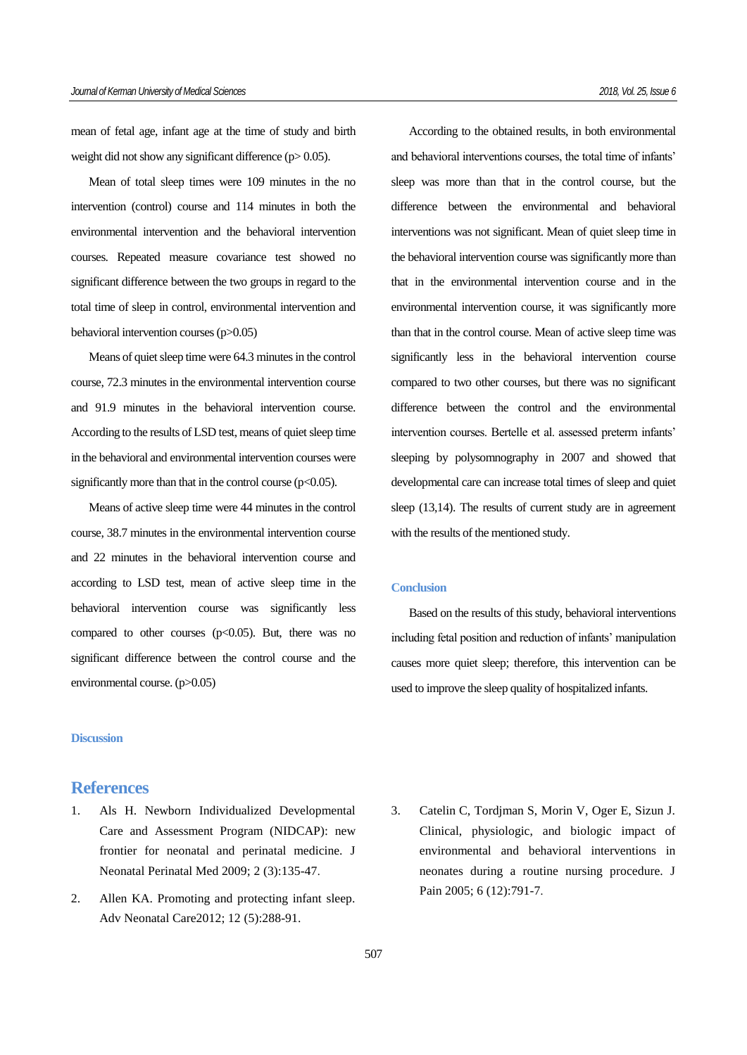mean of fetal age, infant age at the time of study and birth weight did not show any significant difference (p> 0.05).

Mean of total sleep times were 109 minutes in the no intervention (control) course and 114 minutes in both the environmental intervention and the behavioral intervention courses. Repeated measure covariance test showed no significant difference between the two groups in regard to the total time of sleep in control, environmental intervention and behavioral intervention courses(p>0.05)

Means of quiet sleep time were 64.3 minutes in the control course, 72.3 minutes in the environmental intervention course and 91.9 minutes in the behavioral intervention course. According to the results of LSD test, means of quiet sleep time in the behavioral and environmental intervention courses were significantly more than that in the control course  $(p<0.05)$ .

Means of active sleep time were 44 minutes in the control course, 38.7 minutes in the environmental intervention course and 22 minutes in the behavioral intervention course and according to LSD test, mean of active sleep time in the behavioral intervention course was significantly less compared to other courses  $(p<0.05)$ . But, there was no significant difference between the control course and the environmental course. (p>0.05)

### **Discussion**

# **References**

- 1. Als H. Newborn Individualized Developmental Care and Assessment Program (NIDCAP): new frontier for neonatal and perinatal medicine. J Neonatal Perinatal Med 2009; 2 (3):135-47.
- 2. Allen KA. Promoting and protecting infant sleep. Adv Neonatal Care2012; 12 (5):288-91.

According to the obtained results, in both environmental and behavioral interventions courses, the total time of infants' sleep was more than that in the control course, but the difference between the environmental and behavioral interventions was not significant. Mean of quiet sleep time in the behavioral intervention course was significantly more than that in the environmental intervention course and in the environmental intervention course, it was significantly more than that in the control course. Mean of active sleep time was significantly less in the behavioral intervention course compared to two other courses, but there was no significant difference between the control and the environmental intervention courses. Bertelle et al. assessed preterm infants' sleeping by polysomnography in 2007 and showed that developmental care can increase total times of sleep and quiet sleep (13,14). The results of current study are in agreement with the results of the mentioned study.

## **Conclusion**

Based on the results of this study, behavioral interventions including fetal position and reduction of infants' manipulation causes more quiet sleep; therefore, this intervention can be used to improve the sleep quality of hospitalized infants.

3. Catelin C, Tordjman S, Morin V, Oger E, Sizun J. Clinical, physiologic, and biologic impact of environmental and behavioral interventions in neonates during a routine nursing procedure. J Pain 2005; 6 (12):791-7.